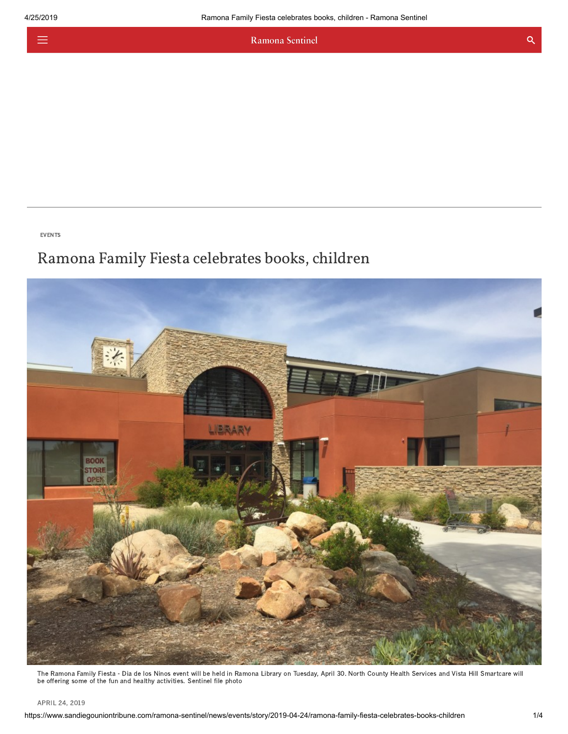≡

Ramona Sentinel

## Ramona Family Fiesta celebrates books, children



The Ramona Family Fiesta - Dia de los Ninos event will be held in Ramona Library on Tuesday, April 30. North County Health Services and Vista Hill Smartcare will be offering some of the fun and healthy activities. Sentinel file photo